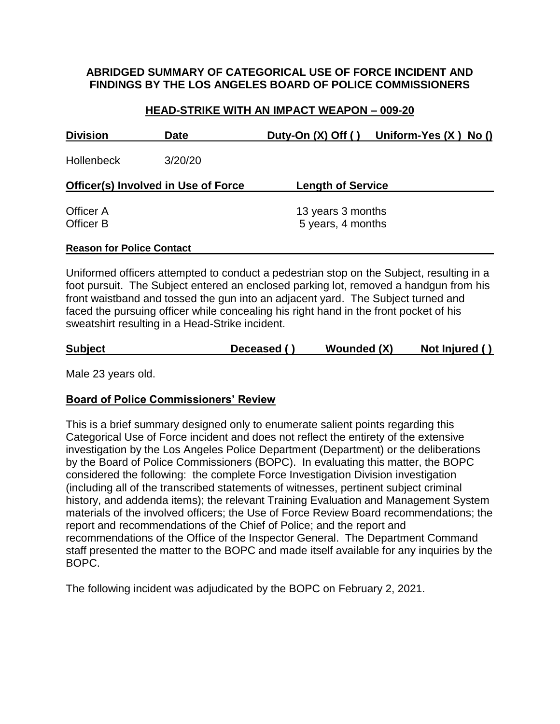### **ABRIDGED SUMMARY OF CATEGORICAL USE OF FORCE INCIDENT AND FINDINGS BY THE LOS ANGELES BOARD OF POLICE COMMISSIONERS**

### **HEAD-STRIKE WITH AN IMPACT WEAPON – 009-20**

| <b>Division</b>                     | <b>Date</b> | Duty-On $(X)$ Off $()$   | Uniform-Yes $(X)$ No $()$ |  |  |  |
|-------------------------------------|-------------|--------------------------|---------------------------|--|--|--|
| <b>Hollenbeck</b>                   | 3/20/20     |                          |                           |  |  |  |
| Officer(s) Involved in Use of Force |             | <b>Length of Service</b> |                           |  |  |  |
| Officer A                           |             | 13 years 3 months        |                           |  |  |  |
| Officer B                           |             | 5 years, 4 months        |                           |  |  |  |
| <b>Reason for Police Contact</b>    |             |                          |                           |  |  |  |

Uniformed officers attempted to conduct a pedestrian stop on the Subject, resulting in a foot pursuit. The Subject entered an enclosed parking lot, removed a handgun from his front waistband and tossed the gun into an adjacent yard. The Subject turned and faced the pursuing officer while concealing his right hand in the front pocket of his sweatshirt resulting in a Head-Strike incident.

| <b>Subject</b> | Deceased () | Wounded (X) | Not Injured () |
|----------------|-------------|-------------|----------------|
|                |             |             |                |

Male 23 years old.

## **Board of Police Commissioners' Review**

This is a brief summary designed only to enumerate salient points regarding this Categorical Use of Force incident and does not reflect the entirety of the extensive investigation by the Los Angeles Police Department (Department) or the deliberations by the Board of Police Commissioners (BOPC). In evaluating this matter, the BOPC considered the following: the complete Force Investigation Division investigation (including all of the transcribed statements of witnesses, pertinent subject criminal history, and addenda items); the relevant Training Evaluation and Management System materials of the involved officers; the Use of Force Review Board recommendations; the report and recommendations of the Chief of Police; and the report and recommendations of the Office of the Inspector General. The Department Command staff presented the matter to the BOPC and made itself available for any inquiries by the BOPC.

The following incident was adjudicated by the BOPC on February 2, 2021.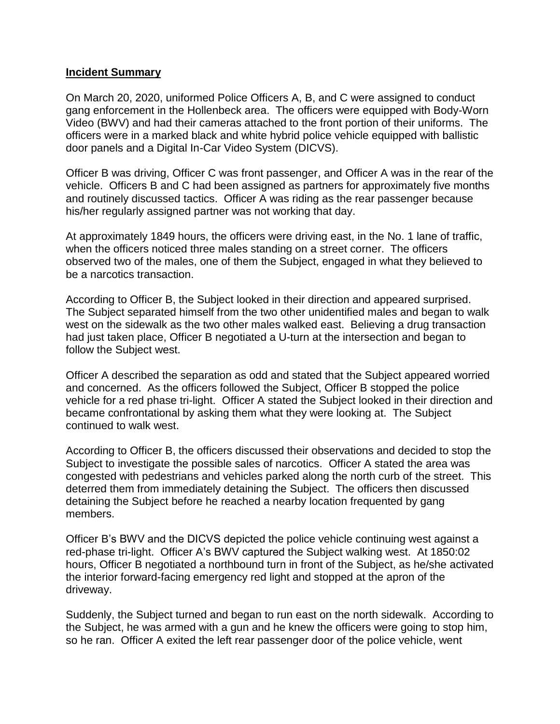#### **Incident Summary**

On March 20, 2020, uniformed Police Officers A, B, and C were assigned to conduct gang enforcement in the Hollenbeck area. The officers were equipped with Body-Worn Video (BWV) and had their cameras attached to the front portion of their uniforms. The officers were in a marked black and white hybrid police vehicle equipped with ballistic door panels and a Digital In-Car Video System (DICVS).

Officer B was driving, Officer C was front passenger, and Officer A was in the rear of the vehicle. Officers B and C had been assigned as partners for approximately five months and routinely discussed tactics. Officer A was riding as the rear passenger because his/her regularly assigned partner was not working that day.

At approximately 1849 hours, the officers were driving east, in the No. 1 lane of traffic, when the officers noticed three males standing on a street corner. The officers observed two of the males, one of them the Subject, engaged in what they believed to be a narcotics transaction.

According to Officer B, the Subject looked in their direction and appeared surprised. The Subject separated himself from the two other unidentified males and began to walk west on the sidewalk as the two other males walked east. Believing a drug transaction had just taken place, Officer B negotiated a U-turn at the intersection and began to follow the Subject west.

Officer A described the separation as odd and stated that the Subject appeared worried and concerned. As the officers followed the Subject, Officer B stopped the police vehicle for a red phase tri-light. Officer A stated the Subject looked in their direction and became confrontational by asking them what they were looking at. The Subject continued to walk west.

According to Officer B, the officers discussed their observations and decided to stop the Subject to investigate the possible sales of narcotics. Officer A stated the area was congested with pedestrians and vehicles parked along the north curb of the street. This deterred them from immediately detaining the Subject. The officers then discussed detaining the Subject before he reached a nearby location frequented by gang members.

Officer B's BWV and the DICVS depicted the police vehicle continuing west against a red-phase tri-light. Officer A's BWV captured the Subject walking west. At 1850:02 hours, Officer B negotiated a northbound turn in front of the Subject, as he/she activated the interior forward-facing emergency red light and stopped at the apron of the driveway.

Suddenly, the Subject turned and began to run east on the north sidewalk. According to the Subject, he was armed with a gun and he knew the officers were going to stop him, so he ran. Officer A exited the left rear passenger door of the police vehicle, went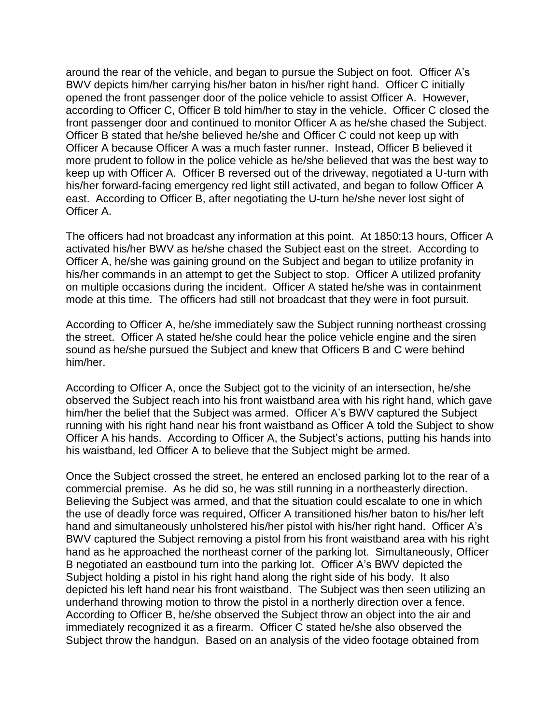around the rear of the vehicle, and began to pursue the Subject on foot. Officer A's BWV depicts him/her carrying his/her baton in his/her right hand. Officer C initially opened the front passenger door of the police vehicle to assist Officer A. However, according to Officer C, Officer B told him/her to stay in the vehicle. Officer C closed the front passenger door and continued to monitor Officer A as he/she chased the Subject. Officer B stated that he/she believed he/she and Officer C could not keep up with Officer A because Officer A was a much faster runner. Instead, Officer B believed it more prudent to follow in the police vehicle as he/she believed that was the best way to keep up with Officer A. Officer B reversed out of the driveway, negotiated a U-turn with his/her forward-facing emergency red light still activated, and began to follow Officer A east. According to Officer B, after negotiating the U-turn he/she never lost sight of Officer A.

The officers had not broadcast any information at this point. At 1850:13 hours, Officer A activated his/her BWV as he/she chased the Subject east on the street. According to Officer A, he/she was gaining ground on the Subject and began to utilize profanity in his/her commands in an attempt to get the Subject to stop. Officer A utilized profanity on multiple occasions during the incident. Officer A stated he/she was in containment mode at this time. The officers had still not broadcast that they were in foot pursuit.

According to Officer A, he/she immediately saw the Subject running northeast crossing the street. Officer A stated he/she could hear the police vehicle engine and the siren sound as he/she pursued the Subject and knew that Officers B and C were behind him/her.

According to Officer A, once the Subject got to the vicinity of an intersection, he/she observed the Subject reach into his front waistband area with his right hand, which gave him/her the belief that the Subject was armed. Officer A's BWV captured the Subject running with his right hand near his front waistband as Officer A told the Subject to show Officer A his hands. According to Officer A, the Subject's actions, putting his hands into his waistband, led Officer A to believe that the Subject might be armed.

Once the Subject crossed the street, he entered an enclosed parking lot to the rear of a commercial premise. As he did so, he was still running in a northeasterly direction. Believing the Subject was armed, and that the situation could escalate to one in which the use of deadly force was required, Officer A transitioned his/her baton to his/her left hand and simultaneously unholstered his/her pistol with his/her right hand. Officer A's BWV captured the Subject removing a pistol from his front waistband area with his right hand as he approached the northeast corner of the parking lot. Simultaneously, Officer B negotiated an eastbound turn into the parking lot. Officer A's BWV depicted the Subject holding a pistol in his right hand along the right side of his body. It also depicted his left hand near his front waistband. The Subject was then seen utilizing an underhand throwing motion to throw the pistol in a northerly direction over a fence. According to Officer B, he/she observed the Subject throw an object into the air and immediately recognized it as a firearm. Officer C stated he/she also observed the Subject throw the handgun. Based on an analysis of the video footage obtained from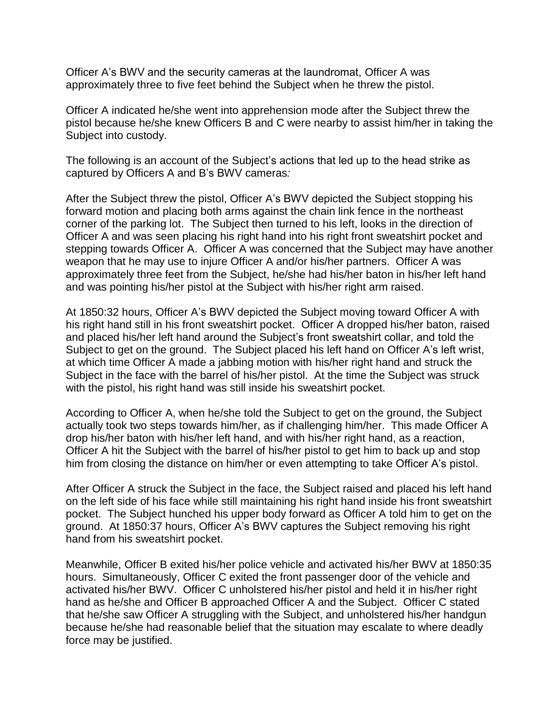Officer A's BWV and the security cameras at the laundromat, Officer A was approximately three to five feet behind the Subject when he threw the pistol.

Officer A indicated he/she went into apprehension mode after the Subject threw the pistol because he/she knew Officers B and C were nearby to assist him/her in taking the Subject into custody.

The following is an account of the Subject's actions that led up to the head strike as captured by Officers A and B's BWV cameras*:*

After the Subject threw the pistol, Officer A's BWV depicted the Subject stopping his forward motion and placing both arms against the chain link fence in the northeast corner of the parking lot. The Subject then turned to his left, looks in the direction of Officer A and was seen placing his right hand into his right front sweatshirt pocket and stepping towards Officer A. Officer A was concerned that the Subject may have another weapon that he may use to injure Officer A and/or his/her partners. Officer A was approximately three feet from the Subject, he/she had his/her baton in his/her left hand and was pointing his/her pistol at the Subject with his/her right arm raised.

At 1850:32 hours, Officer A's BWV depicted the Subject moving toward Officer A with his right hand still in his front sweatshirt pocket. Officer A dropped his/her baton, raised and placed his/her left hand around the Subject's front sweatshirt collar, and told the Subject to get on the ground. The Subject placed his left hand on Officer A's left wrist, at which time Officer A made a jabbing motion with his/her right hand and struck the Subject in the face with the barrel of his/her pistol. At the time the Subject was struck with the pistol, his right hand was still inside his sweatshirt pocket.

According to Officer A, when he/she told the Subject to get on the ground, the Subject actually took two steps towards him/her, as if challenging him/her. This made Officer A drop his/her baton with his/her left hand, and with his/her right hand, as a reaction, Officer A hit the Subject with the barrel of his/her pistol to get him to back up and stop him from closing the distance on him/her or even attempting to take Officer A's pistol.

After Officer A struck the Subject in the face, the Subject raised and placed his left hand on the left side of his face while still maintaining his right hand inside his front sweatshirt pocket. The Subject hunched his upper body forward as Officer A told him to get on the ground. At 1850:37 hours, Officer A's BWV captures the Subject removing his right hand from his sweatshirt pocket.

Meanwhile, Officer B exited his/her police vehicle and activated his/her BWV at 1850:35 hours. Simultaneously, Officer C exited the front passenger door of the vehicle and activated his/her BWV. Officer C unholstered his/her pistol and held it in his/her right hand as he/she and Officer B approached Officer A and the Subject. Officer C stated that he/she saw Officer A struggling with the Subject, and unholstered his/her handgun because he/she had reasonable belief that the situation may escalate to where deadly force may be justified.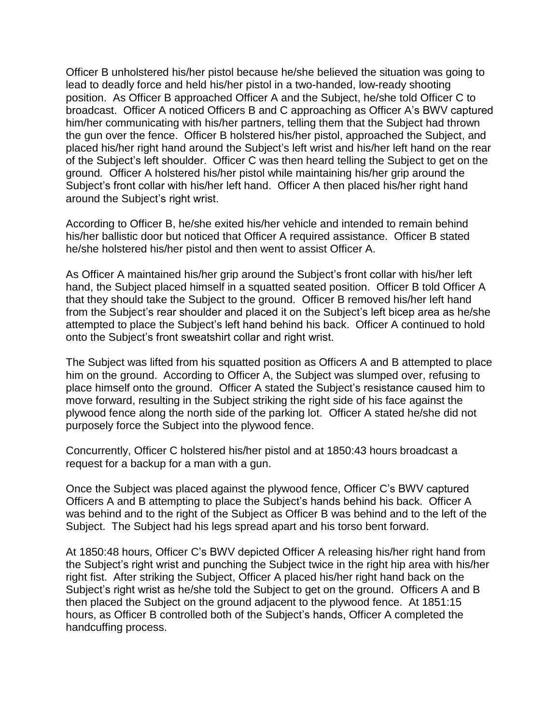Officer B unholstered his/her pistol because he/she believed the situation was going to lead to deadly force and held his/her pistol in a two-handed, low-ready shooting position. As Officer B approached Officer A and the Subject, he/she told Officer C to broadcast. Officer A noticed Officers B and C approaching as Officer A's BWV captured him/her communicating with his/her partners, telling them that the Subject had thrown the gun over the fence. Officer B holstered his/her pistol, approached the Subject, and placed his/her right hand around the Subject's left wrist and his/her left hand on the rear of the Subject's left shoulder. Officer C was then heard telling the Subject to get on the ground*.* Officer A holstered his/her pistol while maintaining his/her grip around the Subject's front collar with his/her left hand. Officer A then placed his/her right hand around the Subject's right wrist.

According to Officer B, he/she exited his/her vehicle and intended to remain behind his/her ballistic door but noticed that Officer A required assistance. Officer B stated he/she holstered his/her pistol and then went to assist Officer A.

As Officer A maintained his/her grip around the Subject's front collar with his/her left hand, the Subject placed himself in a squatted seated position. Officer B told Officer A that they should take the Subject to the ground. Officer B removed his/her left hand from the Subject's rear shoulder and placed it on the Subject's left bicep area as he/she attempted to place the Subject's left hand behind his back. Officer A continued to hold onto the Subject's front sweatshirt collar and right wrist.

The Subject was lifted from his squatted position as Officers A and B attempted to place him on the ground. According to Officer A, the Subject was slumped over, refusing to place himself onto the ground. Officer A stated the Subject's resistance caused him to move forward, resulting in the Subject striking the right side of his face against the plywood fence along the north side of the parking lot. Officer A stated he/she did not purposely force the Subject into the plywood fence.

Concurrently, Officer C holstered his/her pistol and at 1850:43 hours broadcast a request for a backup for a man with a gun.

Once the Subject was placed against the plywood fence, Officer C's BWV captured Officers A and B attempting to place the Subject's hands behind his back. Officer A was behind and to the right of the Subject as Officer B was behind and to the left of the Subject. The Subject had his legs spread apart and his torso bent forward.

At 1850:48 hours, Officer C's BWV depicted Officer A releasing his/her right hand from the Subject's right wrist and punching the Subject twice in the right hip area with his/her right fist. After striking the Subject, Officer A placed his/her right hand back on the Subject's right wrist as he/she told the Subject to get on the ground. Officers A and B then placed the Subject on the ground adjacent to the plywood fence. At 1851:15 hours, as Officer B controlled both of the Subject's hands, Officer A completed the handcuffing process.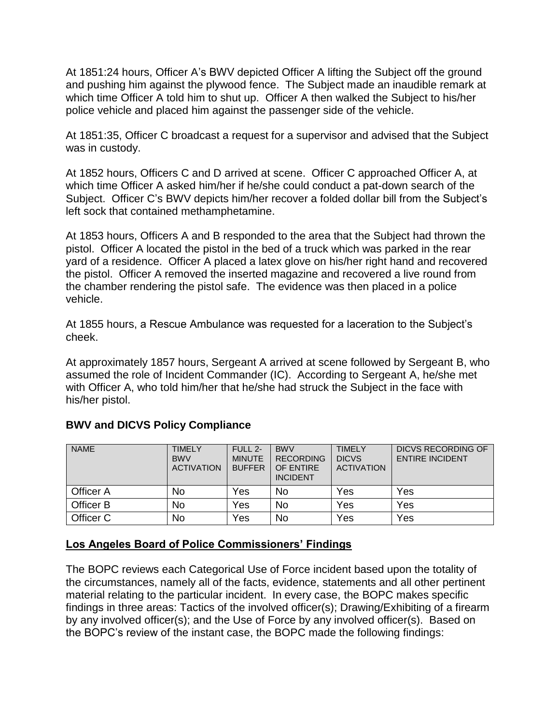At 1851:24 hours, Officer A's BWV depicted Officer A lifting the Subject off the ground and pushing him against the plywood fence. The Subject made an inaudible remark at which time Officer A told him to shut up. Officer A then walked the Subject to his/her police vehicle and placed him against the passenger side of the vehicle.

At 1851:35, Officer C broadcast a request for a supervisor and advised that the Subject was in custody.

At 1852 hours, Officers C and D arrived at scene. Officer C approached Officer A, at which time Officer A asked him/her if he/she could conduct a pat-down search of the Subject. Officer C's BWV depicts him/her recover a folded dollar bill from the Subject's left sock that contained methamphetamine.

At 1853 hours, Officers A and B responded to the area that the Subject had thrown the pistol. Officer A located the pistol in the bed of a truck which was parked in the rear yard of a residence. Officer A placed a latex glove on his/her right hand and recovered the pistol. Officer A removed the inserted magazine and recovered a live round from the chamber rendering the pistol safe. The evidence was then placed in a police vehicle.

At 1855 hours, a Rescue Ambulance was requested for a laceration to the Subject's cheek.

At approximately 1857 hours, Sergeant A arrived at scene followed by Sergeant B, who assumed the role of Incident Commander (IC). According to Sergeant A, he/she met with Officer A, who told him/her that he/she had struck the Subject in the face with his/her pistol.

| <b>NAME</b> | <b>TIMELY</b><br><b>BWV</b><br><b>ACTIVATION</b> | FULL 2-<br><b>MINUTE</b><br><b>BUFFER</b> | <b>BWV</b><br><b>RECORDING</b><br>OF ENTIRE<br><b>INCIDENT</b> | <b>TIMELY</b><br><b>DICVS</b><br><b>ACTIVATION</b> | <b>DICVS RECORDING OF</b><br><b>ENTIRE INCIDENT</b> |
|-------------|--------------------------------------------------|-------------------------------------------|----------------------------------------------------------------|----------------------------------------------------|-----------------------------------------------------|
| Officer A   | No                                               | Yes                                       | No                                                             | Yes                                                | Yes                                                 |
| Officer B   | No                                               | Yes                                       | No                                                             | Yes                                                | Yes                                                 |
| Officer C   | No                                               | Yes                                       | <b>No</b>                                                      | Yes                                                | Yes                                                 |

## **BWV and DICVS Policy Compliance**

#### **Los Angeles Board of Police Commissioners' Findings**

The BOPC reviews each Categorical Use of Force incident based upon the totality of the circumstances, namely all of the facts, evidence, statements and all other pertinent material relating to the particular incident. In every case, the BOPC makes specific findings in three areas: Tactics of the involved officer(s); Drawing/Exhibiting of a firearm by any involved officer(s); and the Use of Force by any involved officer(s). Based on the BOPC's review of the instant case, the BOPC made the following findings: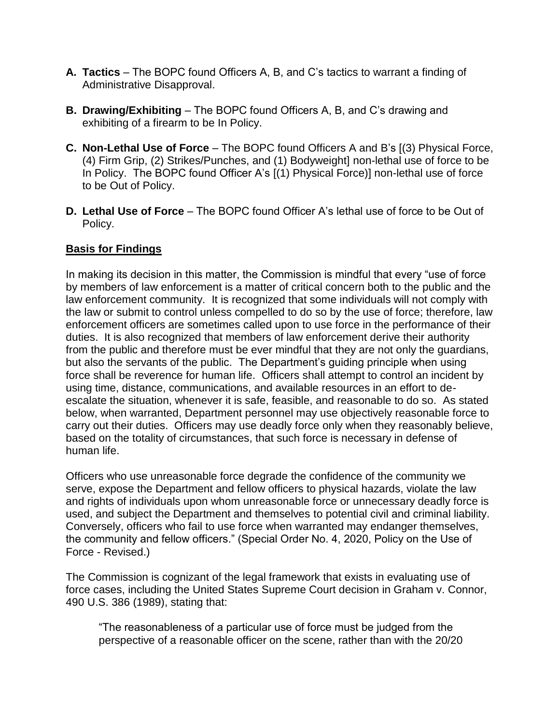- **A. Tactics** The BOPC found Officers A, B, and C's tactics to warrant a finding of Administrative Disapproval.
- **B. Drawing/Exhibiting** The BOPC found Officers A, B, and C's drawing and exhibiting of a firearm to be In Policy.
- **C. Non-Lethal Use of Force**  The BOPC found Officers A and B's [(3) Physical Force, (4) Firm Grip, (2) Strikes/Punches, and (1) Bodyweight] non-lethal use of force to be In Policy. The BOPC found Officer A's [(1) Physical Force)] non-lethal use of force to be Out of Policy.
- **D. Lethal Use of Force**  The BOPC found Officer A's lethal use of force to be Out of Policy.

## **Basis for Findings**

In making its decision in this matter, the Commission is mindful that every "use of force by members of law enforcement is a matter of critical concern both to the public and the law enforcement community. It is recognized that some individuals will not comply with the law or submit to control unless compelled to do so by the use of force; therefore, law enforcement officers are sometimes called upon to use force in the performance of their duties. It is also recognized that members of law enforcement derive their authority from the public and therefore must be ever mindful that they are not only the guardians, but also the servants of the public. The Department's guiding principle when using force shall be reverence for human life. Officers shall attempt to control an incident by using time, distance, communications, and available resources in an effort to deescalate the situation, whenever it is safe, feasible, and reasonable to do so. As stated below, when warranted, Department personnel may use objectively reasonable force to carry out their duties. Officers may use deadly force only when they reasonably believe, based on the totality of circumstances, that such force is necessary in defense of human life.

Officers who use unreasonable force degrade the confidence of the community we serve, expose the Department and fellow officers to physical hazards, violate the law and rights of individuals upon whom unreasonable force or unnecessary deadly force is used, and subject the Department and themselves to potential civil and criminal liability. Conversely, officers who fail to use force when warranted may endanger themselves, the community and fellow officers." (Special Order No. 4, 2020, Policy on the Use of Force - Revised.)

The Commission is cognizant of the legal framework that exists in evaluating use of force cases, including the United States Supreme Court decision in Graham v. Connor, 490 U.S. 386 (1989), stating that:

"The reasonableness of a particular use of force must be judged from the perspective of a reasonable officer on the scene, rather than with the 20/20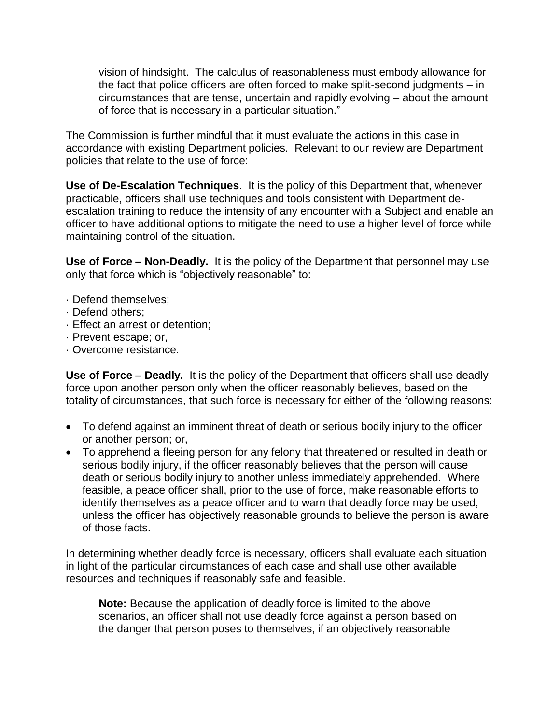vision of hindsight. The calculus of reasonableness must embody allowance for the fact that police officers are often forced to make split-second judgments – in circumstances that are tense, uncertain and rapidly evolving – about the amount of force that is necessary in a particular situation."

The Commission is further mindful that it must evaluate the actions in this case in accordance with existing Department policies. Relevant to our review are Department policies that relate to the use of force:

**Use of De-Escalation Techniques**. It is the policy of this Department that, whenever practicable, officers shall use techniques and tools consistent with Department deescalation training to reduce the intensity of any encounter with a Subject and enable an officer to have additional options to mitigate the need to use a higher level of force while maintaining control of the situation.

**Use of Force – Non-Deadly.** It is the policy of the Department that personnel may use only that force which is "objectively reasonable" to:

- · Defend themselves;
- · Defend others;
- · Effect an arrest or detention;
- · Prevent escape; or,
- · Overcome resistance.

**Use of Force – Deadly.** It is the policy of the Department that officers shall use deadly force upon another person only when the officer reasonably believes, based on the totality of circumstances, that such force is necessary for either of the following reasons:

- To defend against an imminent threat of death or serious bodily injury to the officer or another person; or,
- To apprehend a fleeing person for any felony that threatened or resulted in death or serious bodily injury, if the officer reasonably believes that the person will cause death or serious bodily injury to another unless immediately apprehended. Where feasible, a peace officer shall, prior to the use of force, make reasonable efforts to identify themselves as a peace officer and to warn that deadly force may be used, unless the officer has objectively reasonable grounds to believe the person is aware of those facts.

In determining whether deadly force is necessary, officers shall evaluate each situation in light of the particular circumstances of each case and shall use other available resources and techniques if reasonably safe and feasible.

**Note:** Because the application of deadly force is limited to the above scenarios, an officer shall not use deadly force against a person based on the danger that person poses to themselves, if an objectively reasonable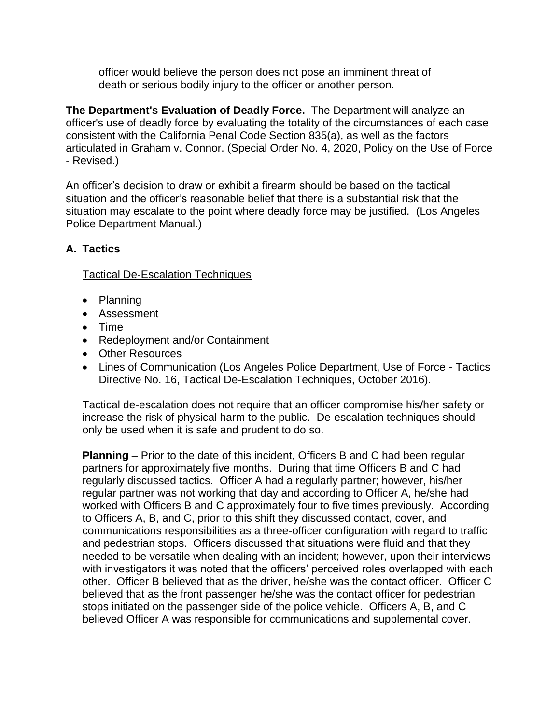officer would believe the person does not pose an imminent threat of death or serious bodily injury to the officer or another person.

**The Department's Evaluation of Deadly Force.** The Department will analyze an officer's use of deadly force by evaluating the totality of the circumstances of each case consistent with the California Penal Code Section 835(a), as well as the factors articulated in Graham v. Connor. (Special Order No. 4, 2020, Policy on the Use of Force - Revised.)

An officer's decision to draw or exhibit a firearm should be based on the tactical situation and the officer's reasonable belief that there is a substantial risk that the situation may escalate to the point where deadly force may be justified. (Los Angeles Police Department Manual.)

# **A. Tactics**

Tactical De-Escalation Techniques

- Planning
- Assessment
- Time
- Redeployment and/or Containment
- Other Resources
- Lines of Communication (Los Angeles Police Department, Use of Force Tactics Directive No. 16, Tactical De-Escalation Techniques, October 2016).

Tactical de-escalation does not require that an officer compromise his/her safety or increase the risk of physical harm to the public. De-escalation techniques should only be used when it is safe and prudent to do so.

**Planning** – Prior to the date of this incident, Officers B and C had been regular partners for approximately five months. During that time Officers B and C had regularly discussed tactics. Officer A had a regularly partner; however, his/her regular partner was not working that day and according to Officer A, he/she had worked with Officers B and C approximately four to five times previously. According to Officers A, B, and C, prior to this shift they discussed contact, cover, and communications responsibilities as a three-officer configuration with regard to traffic and pedestrian stops. Officers discussed that situations were fluid and that they needed to be versatile when dealing with an incident; however, upon their interviews with investigators it was noted that the officers' perceived roles overlapped with each other. Officer B believed that as the driver, he/she was the contact officer. Officer C believed that as the front passenger he/she was the contact officer for pedestrian stops initiated on the passenger side of the police vehicle. Officers A, B, and C believed Officer A was responsible for communications and supplemental cover.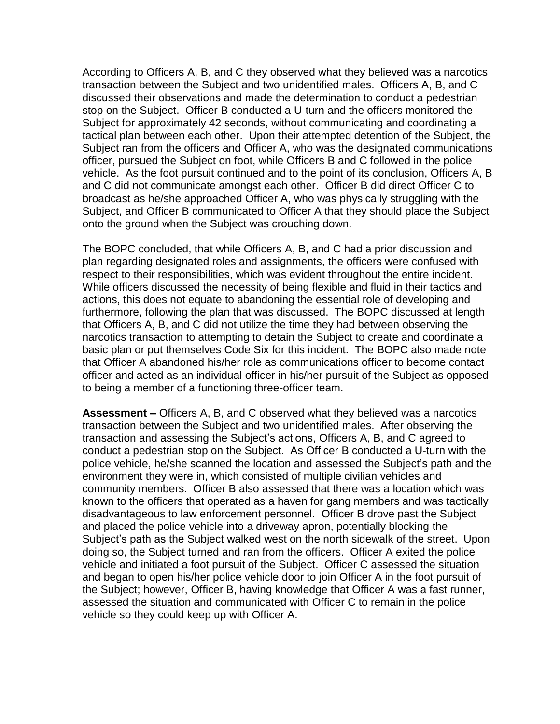According to Officers A, B, and C they observed what they believed was a narcotics transaction between the Subject and two unidentified males. Officers A, B, and C discussed their observations and made the determination to conduct a pedestrian stop on the Subject. Officer B conducted a U-turn and the officers monitored the Subject for approximately 42 seconds, without communicating and coordinating a tactical plan between each other. Upon their attempted detention of the Subject, the Subject ran from the officers and Officer A, who was the designated communications officer, pursued the Subject on foot, while Officers B and C followed in the police vehicle. As the foot pursuit continued and to the point of its conclusion, Officers A, B and C did not communicate amongst each other. Officer B did direct Officer C to broadcast as he/she approached Officer A, who was physically struggling with the Subject, and Officer B communicated to Officer A that they should place the Subject onto the ground when the Subject was crouching down.

The BOPC concluded, that while Officers A, B, and C had a prior discussion and plan regarding designated roles and assignments, the officers were confused with respect to their responsibilities, which was evident throughout the entire incident. While officers discussed the necessity of being flexible and fluid in their tactics and actions, this does not equate to abandoning the essential role of developing and furthermore, following the plan that was discussed. The BOPC discussed at length that Officers A, B, and C did not utilize the time they had between observing the narcotics transaction to attempting to detain the Subject to create and coordinate a basic plan or put themselves Code Six for this incident. The BOPC also made note that Officer A abandoned his/her role as communications officer to become contact officer and acted as an individual officer in his/her pursuit of the Subject as opposed to being a member of a functioning three-officer team.

**Assessment –** Officers A, B, and C observed what they believed was a narcotics transaction between the Subject and two unidentified males. After observing the transaction and assessing the Subject's actions, Officers A, B, and C agreed to conduct a pedestrian stop on the Subject. As Officer B conducted a U-turn with the police vehicle, he/she scanned the location and assessed the Subject's path and the environment they were in, which consisted of multiple civilian vehicles and community members. Officer B also assessed that there was a location which was known to the officers that operated as a haven for gang members and was tactically disadvantageous to law enforcement personnel. Officer B drove past the Subject and placed the police vehicle into a driveway apron, potentially blocking the Subject's path as the Subject walked west on the north sidewalk of the street. Upon doing so, the Subject turned and ran from the officers. Officer A exited the police vehicle and initiated a foot pursuit of the Subject. Officer C assessed the situation and began to open his/her police vehicle door to join Officer A in the foot pursuit of the Subject; however, Officer B, having knowledge that Officer A was a fast runner, assessed the situation and communicated with Officer C to remain in the police vehicle so they could keep up with Officer A.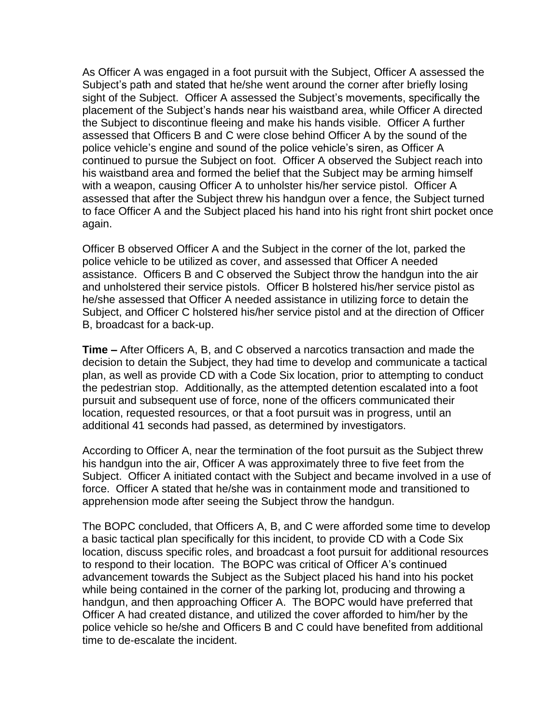As Officer A was engaged in a foot pursuit with the Subject, Officer A assessed the Subject's path and stated that he/she went around the corner after briefly losing sight of the Subject. Officer A assessed the Subject's movements, specifically the placement of the Subject's hands near his waistband area, while Officer A directed the Subject to discontinue fleeing and make his hands visible. Officer A further assessed that Officers B and C were close behind Officer A by the sound of the police vehicle's engine and sound of the police vehicle's siren, as Officer A continued to pursue the Subject on foot. Officer A observed the Subject reach into his waistband area and formed the belief that the Subject may be arming himself with a weapon, causing Officer A to unholster his/her service pistol. Officer A assessed that after the Subject threw his handgun over a fence, the Subject turned to face Officer A and the Subject placed his hand into his right front shirt pocket once again.

Officer B observed Officer A and the Subject in the corner of the lot, parked the police vehicle to be utilized as cover, and assessed that Officer A needed assistance. Officers B and C observed the Subject throw the handgun into the air and unholstered their service pistols. Officer B holstered his/her service pistol as he/she assessed that Officer A needed assistance in utilizing force to detain the Subject, and Officer C holstered his/her service pistol and at the direction of Officer B, broadcast for a back-up.

**Time –** After Officers A, B, and C observed a narcotics transaction and made the decision to detain the Subject, they had time to develop and communicate a tactical plan, as well as provide CD with a Code Six location, prior to attempting to conduct the pedestrian stop. Additionally, as the attempted detention escalated into a foot pursuit and subsequent use of force, none of the officers communicated their location, requested resources, or that a foot pursuit was in progress, until an additional 41 seconds had passed, as determined by investigators.

According to Officer A, near the termination of the foot pursuit as the Subject threw his handgun into the air, Officer A was approximately three to five feet from the Subject. Officer A initiated contact with the Subject and became involved in a use of force. Officer A stated that he/she was in containment mode and transitioned to apprehension mode after seeing the Subject throw the handgun.

The BOPC concluded, that Officers A, B, and C were afforded some time to develop a basic tactical plan specifically for this incident, to provide CD with a Code Six location, discuss specific roles, and broadcast a foot pursuit for additional resources to respond to their location. The BOPC was critical of Officer A's continued advancement towards the Subject as the Subject placed his hand into his pocket while being contained in the corner of the parking lot, producing and throwing a handgun, and then approaching Officer A. The BOPC would have preferred that Officer A had created distance, and utilized the cover afforded to him/her by the police vehicle so he/she and Officers B and C could have benefited from additional time to de-escalate the incident.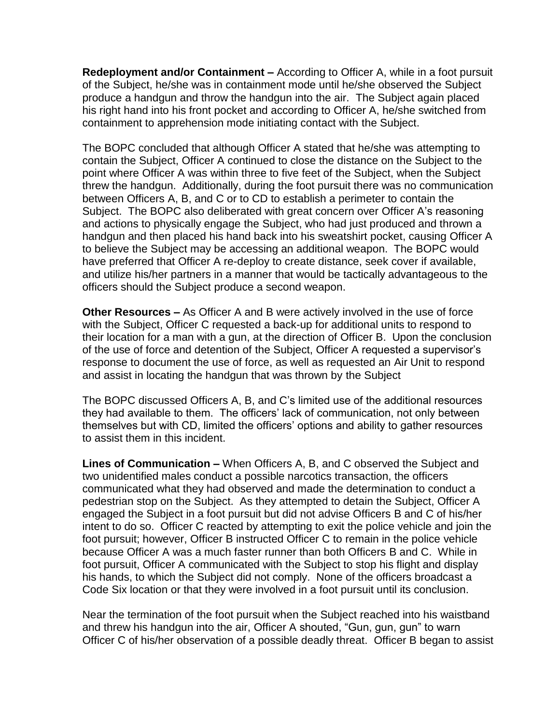**Redeployment and/or Containment –** According to Officer A, while in a foot pursuit of the Subject, he/she was in containment mode until he/she observed the Subject produce a handgun and throw the handgun into the air. The Subject again placed his right hand into his front pocket and according to Officer A, he/she switched from containment to apprehension mode initiating contact with the Subject.

The BOPC concluded that although Officer A stated that he/she was attempting to contain the Subject, Officer A continued to close the distance on the Subject to the point where Officer A was within three to five feet of the Subject, when the Subject threw the handgun. Additionally, during the foot pursuit there was no communication between Officers A, B, and C or to CD to establish a perimeter to contain the Subject. The BOPC also deliberated with great concern over Officer A's reasoning and actions to physically engage the Subject, who had just produced and thrown a handgun and then placed his hand back into his sweatshirt pocket, causing Officer A to believe the Subject may be accessing an additional weapon. The BOPC would have preferred that Officer A re-deploy to create distance, seek cover if available, and utilize his/her partners in a manner that would be tactically advantageous to the officers should the Subject produce a second weapon.

**Other Resources –** As Officer A and B were actively involved in the use of force with the Subject, Officer C requested a back-up for additional units to respond to their location for a man with a gun, at the direction of Officer B. Upon the conclusion of the use of force and detention of the Subject, Officer A requested a supervisor's response to document the use of force, as well as requested an Air Unit to respond and assist in locating the handgun that was thrown by the Subject

The BOPC discussed Officers A, B, and C's limited use of the additional resources they had available to them. The officers' lack of communication, not only between themselves but with CD, limited the officers' options and ability to gather resources to assist them in this incident.

**Lines of Communication –** When Officers A, B, and C observed the Subject and two unidentified males conduct a possible narcotics transaction, the officers communicated what they had observed and made the determination to conduct a pedestrian stop on the Subject. As they attempted to detain the Subject, Officer A engaged the Subject in a foot pursuit but did not advise Officers B and C of his/her intent to do so. Officer C reacted by attempting to exit the police vehicle and join the foot pursuit; however, Officer B instructed Officer C to remain in the police vehicle because Officer A was a much faster runner than both Officers B and C. While in foot pursuit, Officer A communicated with the Subject to stop his flight and display his hands, to which the Subject did not comply. None of the officers broadcast a Code Six location or that they were involved in a foot pursuit until its conclusion.

Near the termination of the foot pursuit when the Subject reached into his waistband and threw his handgun into the air, Officer A shouted, "Gun, gun, gun" to warn Officer C of his/her observation of a possible deadly threat. Officer B began to assist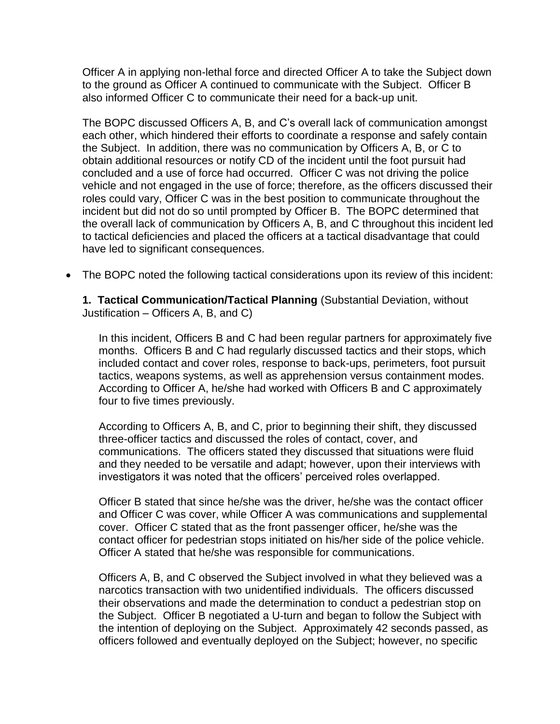Officer A in applying non-lethal force and directed Officer A to take the Subject down to the ground as Officer A continued to communicate with the Subject. Officer B also informed Officer C to communicate their need for a back-up unit.

The BOPC discussed Officers A, B, and C's overall lack of communication amongst each other, which hindered their efforts to coordinate a response and safely contain the Subject. In addition, there was no communication by Officers A, B, or C to obtain additional resources or notify CD of the incident until the foot pursuit had concluded and a use of force had occurred. Officer C was not driving the police vehicle and not engaged in the use of force; therefore, as the officers discussed their roles could vary, Officer C was in the best position to communicate throughout the incident but did not do so until prompted by Officer B. The BOPC determined that the overall lack of communication by Officers A, B, and C throughout this incident led to tactical deficiencies and placed the officers at a tactical disadvantage that could have led to significant consequences.

• The BOPC noted the following tactical considerations upon its review of this incident:

**1. Tactical Communication/Tactical Planning** (Substantial Deviation, without Justification – Officers A, B, and C)

In this incident, Officers B and C had been regular partners for approximately five months. Officers B and C had regularly discussed tactics and their stops, which included contact and cover roles, response to back-ups, perimeters, foot pursuit tactics, weapons systems, as well as apprehension versus containment modes. According to Officer A, he/she had worked with Officers B and C approximately four to five times previously.

According to Officers A, B, and C, prior to beginning their shift, they discussed three-officer tactics and discussed the roles of contact, cover, and communications. The officers stated they discussed that situations were fluid and they needed to be versatile and adapt; however, upon their interviews with investigators it was noted that the officers' perceived roles overlapped.

Officer B stated that since he/she was the driver, he/she was the contact officer and Officer C was cover, while Officer A was communications and supplemental cover. Officer C stated that as the front passenger officer, he/she was the contact officer for pedestrian stops initiated on his/her side of the police vehicle. Officer A stated that he/she was responsible for communications.

Officers A, B, and C observed the Subject involved in what they believed was a narcotics transaction with two unidentified individuals. The officers discussed their observations and made the determination to conduct a pedestrian stop on the Subject. Officer B negotiated a U-turn and began to follow the Subject with the intention of deploying on the Subject. Approximately 42 seconds passed, as officers followed and eventually deployed on the Subject; however, no specific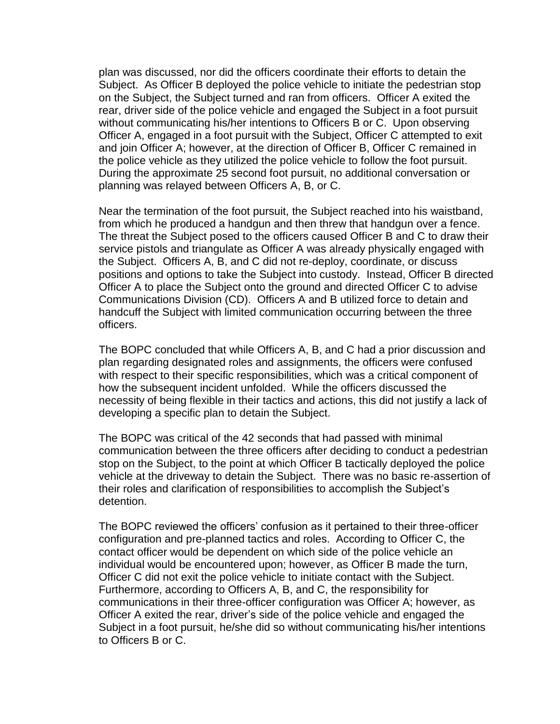plan was discussed, nor did the officers coordinate their efforts to detain the Subject. As Officer B deployed the police vehicle to initiate the pedestrian stop on the Subject, the Subject turned and ran from officers. Officer A exited the rear, driver side of the police vehicle and engaged the Subject in a foot pursuit without communicating his/her intentions to Officers B or C. Upon observing Officer A, engaged in a foot pursuit with the Subject, Officer C attempted to exit and join Officer A; however, at the direction of Officer B, Officer C remained in the police vehicle as they utilized the police vehicle to follow the foot pursuit. During the approximate 25 second foot pursuit, no additional conversation or planning was relayed between Officers A, B, or C.

Near the termination of the foot pursuit, the Subject reached into his waistband, from which he produced a handgun and then threw that handgun over a fence. The threat the Subject posed to the officers caused Officer B and C to draw their service pistols and triangulate as Officer A was already physically engaged with the Subject. Officers A, B, and C did not re-deploy, coordinate, or discuss positions and options to take the Subject into custody. Instead, Officer B directed Officer A to place the Subject onto the ground and directed Officer C to advise Communications Division (CD). Officers A and B utilized force to detain and handcuff the Subject with limited communication occurring between the three officers.

The BOPC concluded that while Officers A, B, and C had a prior discussion and plan regarding designated roles and assignments, the officers were confused with respect to their specific responsibilities, which was a critical component of how the subsequent incident unfolded. While the officers discussed the necessity of being flexible in their tactics and actions, this did not justify a lack of developing a specific plan to detain the Subject.

The BOPC was critical of the 42 seconds that had passed with minimal communication between the three officers after deciding to conduct a pedestrian stop on the Subject, to the point at which Officer B tactically deployed the police vehicle at the driveway to detain the Subject. There was no basic re-assertion of their roles and clarification of responsibilities to accomplish the Subject's detention.

The BOPC reviewed the officers' confusion as it pertained to their three-officer configuration and pre-planned tactics and roles. According to Officer C, the contact officer would be dependent on which side of the police vehicle an individual would be encountered upon; however, as Officer B made the turn, Officer C did not exit the police vehicle to initiate contact with the Subject. Furthermore, according to Officers A, B, and C, the responsibility for communications in their three-officer configuration was Officer A; however, as Officer A exited the rear, driver's side of the police vehicle and engaged the Subject in a foot pursuit, he/she did so without communicating his/her intentions to Officers B or C.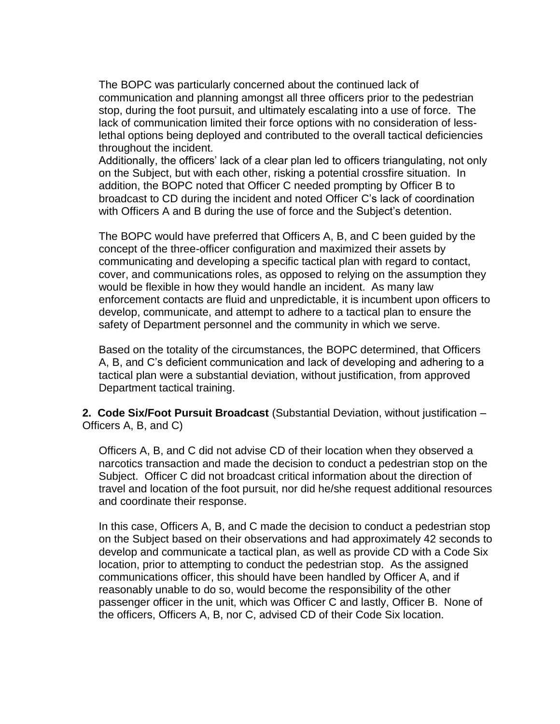The BOPC was particularly concerned about the continued lack of communication and planning amongst all three officers prior to the pedestrian stop, during the foot pursuit, and ultimately escalating into a use of force. The lack of communication limited their force options with no consideration of lesslethal options being deployed and contributed to the overall tactical deficiencies throughout the incident.

Additionally, the officers' lack of a clear plan led to officers triangulating, not only on the Subject, but with each other, risking a potential crossfire situation. In addition, the BOPC noted that Officer C needed prompting by Officer B to broadcast to CD during the incident and noted Officer C's lack of coordination with Officers A and B during the use of force and the Subject's detention.

The BOPC would have preferred that Officers A, B, and C been guided by the concept of the three-officer configuration and maximized their assets by communicating and developing a specific tactical plan with regard to contact, cover, and communications roles, as opposed to relying on the assumption they would be flexible in how they would handle an incident. As many law enforcement contacts are fluid and unpredictable, it is incumbent upon officers to develop, communicate, and attempt to adhere to a tactical plan to ensure the safety of Department personnel and the community in which we serve.

Based on the totality of the circumstances, the BOPC determined, that Officers A, B, and C's deficient communication and lack of developing and adhering to a tactical plan were a substantial deviation, without justification, from approved Department tactical training.

**2. Code Six/Foot Pursuit Broadcast** (Substantial Deviation, without justification – Officers A, B, and C)

Officers A, B, and C did not advise CD of their location when they observed a narcotics transaction and made the decision to conduct a pedestrian stop on the Subject. Officer C did not broadcast critical information about the direction of travel and location of the foot pursuit, nor did he/she request additional resources and coordinate their response.

In this case, Officers A, B, and C made the decision to conduct a pedestrian stop on the Subject based on their observations and had approximately 42 seconds to develop and communicate a tactical plan, as well as provide CD with a Code Six location, prior to attempting to conduct the pedestrian stop. As the assigned communications officer, this should have been handled by Officer A, and if reasonably unable to do so, would become the responsibility of the other passenger officer in the unit, which was Officer C and lastly, Officer B. None of the officers, Officers A, B, nor C, advised CD of their Code Six location.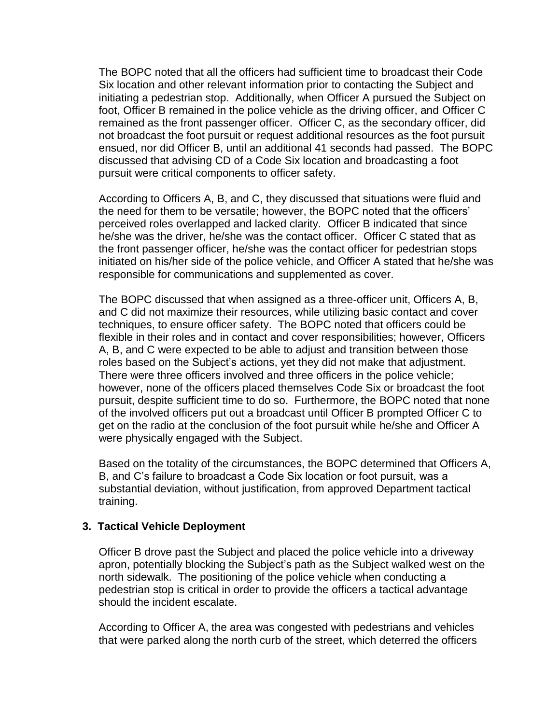The BOPC noted that all the officers had sufficient time to broadcast their Code Six location and other relevant information prior to contacting the Subject and initiating a pedestrian stop. Additionally, when Officer A pursued the Subject on foot, Officer B remained in the police vehicle as the driving officer, and Officer C remained as the front passenger officer. Officer C, as the secondary officer, did not broadcast the foot pursuit or request additional resources as the foot pursuit ensued, nor did Officer B, until an additional 41 seconds had passed. The BOPC discussed that advising CD of a Code Six location and broadcasting a foot pursuit were critical components to officer safety.

According to Officers A, B, and C, they discussed that situations were fluid and the need for them to be versatile; however, the BOPC noted that the officers' perceived roles overlapped and lacked clarity. Officer B indicated that since he/she was the driver, he/she was the contact officer. Officer C stated that as the front passenger officer, he/she was the contact officer for pedestrian stops initiated on his/her side of the police vehicle, and Officer A stated that he/she was responsible for communications and supplemented as cover.

The BOPC discussed that when assigned as a three-officer unit, Officers A, B, and C did not maximize their resources, while utilizing basic contact and cover techniques, to ensure officer safety. The BOPC noted that officers could be flexible in their roles and in contact and cover responsibilities; however, Officers A, B, and C were expected to be able to adjust and transition between those roles based on the Subject's actions, yet they did not make that adjustment. There were three officers involved and three officers in the police vehicle; however, none of the officers placed themselves Code Six or broadcast the foot pursuit, despite sufficient time to do so. Furthermore, the BOPC noted that none of the involved officers put out a broadcast until Officer B prompted Officer C to get on the radio at the conclusion of the foot pursuit while he/she and Officer A were physically engaged with the Subject.

Based on the totality of the circumstances, the BOPC determined that Officers A, B, and C's failure to broadcast a Code Six location or foot pursuit, was a substantial deviation, without justification, from approved Department tactical training.

#### **3. Tactical Vehicle Deployment**

Officer B drove past the Subject and placed the police vehicle into a driveway apron, potentially blocking the Subject's path as the Subject walked west on the north sidewalk. The positioning of the police vehicle when conducting a pedestrian stop is critical in order to provide the officers a tactical advantage should the incident escalate.

According to Officer A, the area was congested with pedestrians and vehicles that were parked along the north curb of the street, which deterred the officers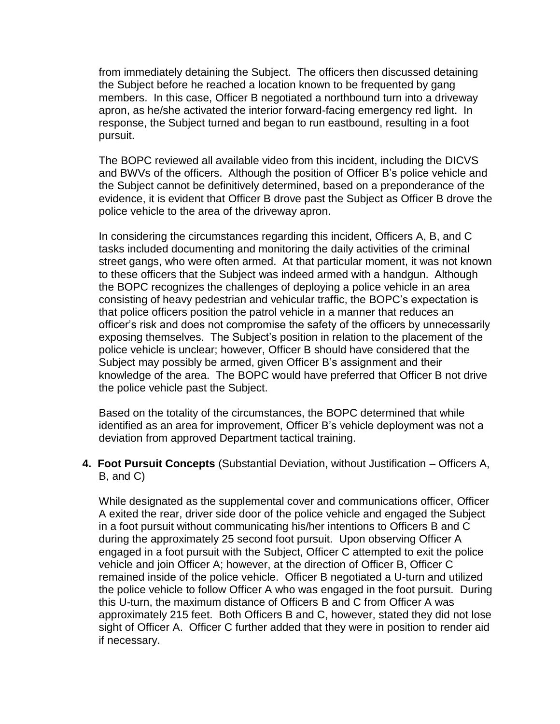from immediately detaining the Subject. The officers then discussed detaining the Subject before he reached a location known to be frequented by gang members. In this case, Officer B negotiated a northbound turn into a driveway apron, as he/she activated the interior forward-facing emergency red light. In response, the Subject turned and began to run eastbound, resulting in a foot pursuit.

The BOPC reviewed all available video from this incident, including the DICVS and BWVs of the officers. Although the position of Officer B's police vehicle and the Subject cannot be definitively determined, based on a preponderance of the evidence, it is evident that Officer B drove past the Subject as Officer B drove the police vehicle to the area of the driveway apron.

In considering the circumstances regarding this incident, Officers A, B, and C tasks included documenting and monitoring the daily activities of the criminal street gangs, who were often armed. At that particular moment, it was not known to these officers that the Subject was indeed armed with a handgun. Although the BOPC recognizes the challenges of deploying a police vehicle in an area consisting of heavy pedestrian and vehicular traffic, the BOPC's expectation is that police officers position the patrol vehicle in a manner that reduces an officer's risk and does not compromise the safety of the officers by unnecessarily exposing themselves. The Subject's position in relation to the placement of the police vehicle is unclear; however, Officer B should have considered that the Subject may possibly be armed, given Officer B's assignment and their knowledge of the area. The BOPC would have preferred that Officer B not drive the police vehicle past the Subject.

Based on the totality of the circumstances, the BOPC determined that while identified as an area for improvement, Officer B's vehicle deployment was not a deviation from approved Department tactical training.

**4. Foot Pursuit Concepts** (Substantial Deviation, without Justification – Officers A, B, and C)

While designated as the supplemental cover and communications officer, Officer A exited the rear, driver side door of the police vehicle and engaged the Subject in a foot pursuit without communicating his/her intentions to Officers B and C during the approximately 25 second foot pursuit. Upon observing Officer A engaged in a foot pursuit with the Subject, Officer C attempted to exit the police vehicle and join Officer A; however, at the direction of Officer B, Officer C remained inside of the police vehicle. Officer B negotiated a U-turn and utilized the police vehicle to follow Officer A who was engaged in the foot pursuit. During this U-turn, the maximum distance of Officers B and C from Officer A was approximately 215 feet. Both Officers B and C, however, stated they did not lose sight of Officer A. Officer C further added that they were in position to render aid if necessary.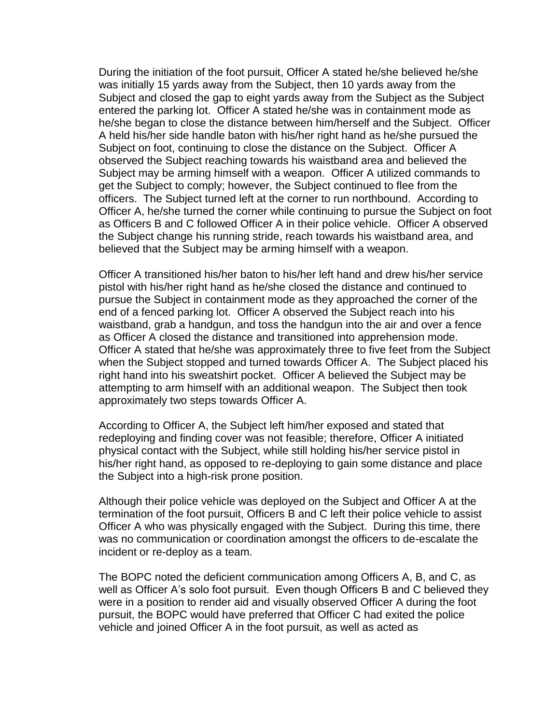During the initiation of the foot pursuit, Officer A stated he/she believed he/she was initially 15 yards away from the Subject, then 10 yards away from the Subject and closed the gap to eight yards away from the Subject as the Subject entered the parking lot. Officer A stated he/she was in containment mode as he/she began to close the distance between him/herself and the Subject. Officer A held his/her side handle baton with his/her right hand as he/she pursued the Subject on foot, continuing to close the distance on the Subject. Officer A observed the Subject reaching towards his waistband area and believed the Subject may be arming himself with a weapon. Officer A utilized commands to get the Subject to comply; however, the Subject continued to flee from the officers. The Subject turned left at the corner to run northbound. According to Officer A, he/she turned the corner while continuing to pursue the Subject on foot as Officers B and C followed Officer A in their police vehicle. Officer A observed the Subject change his running stride, reach towards his waistband area, and believed that the Subject may be arming himself with a weapon.

Officer A transitioned his/her baton to his/her left hand and drew his/her service pistol with his/her right hand as he/she closed the distance and continued to pursue the Subject in containment mode as they approached the corner of the end of a fenced parking lot. Officer A observed the Subject reach into his waistband, grab a handgun, and toss the handgun into the air and over a fence as Officer A closed the distance and transitioned into apprehension mode. Officer A stated that he/she was approximately three to five feet from the Subject when the Subject stopped and turned towards Officer A. The Subject placed his right hand into his sweatshirt pocket. Officer A believed the Subject may be attempting to arm himself with an additional weapon. The Subject then took approximately two steps towards Officer A.

According to Officer A, the Subject left him/her exposed and stated that redeploying and finding cover was not feasible; therefore, Officer A initiated physical contact with the Subject, while still holding his/her service pistol in his/her right hand, as opposed to re-deploying to gain some distance and place the Subject into a high-risk prone position.

Although their police vehicle was deployed on the Subject and Officer A at the termination of the foot pursuit, Officers B and C left their police vehicle to assist Officer A who was physically engaged with the Subject. During this time, there was no communication or coordination amongst the officers to de-escalate the incident or re-deploy as a team.

The BOPC noted the deficient communication among Officers A, B, and C, as well as Officer A's solo foot pursuit. Even though Officers B and C believed they were in a position to render aid and visually observed Officer A during the foot pursuit, the BOPC would have preferred that Officer C had exited the police vehicle and joined Officer A in the foot pursuit, as well as acted as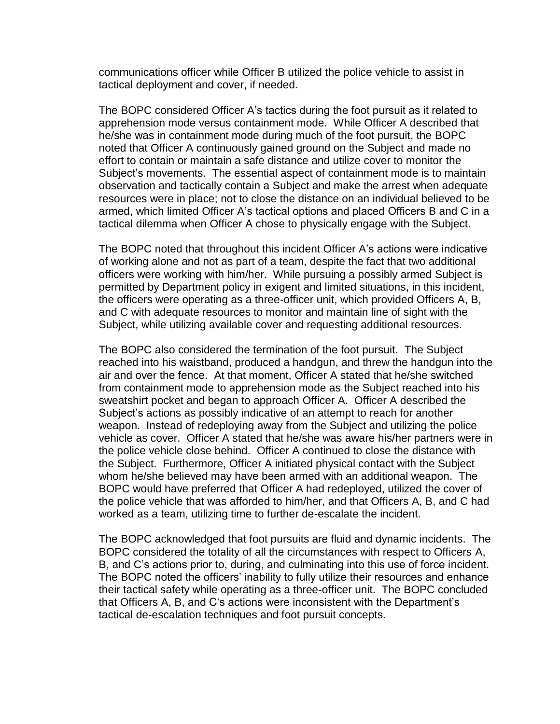communications officer while Officer B utilized the police vehicle to assist in tactical deployment and cover, if needed.

The BOPC considered Officer A's tactics during the foot pursuit as it related to apprehension mode versus containment mode. While Officer A described that he/she was in containment mode during much of the foot pursuit, the BOPC noted that Officer A continuously gained ground on the Subject and made no effort to contain or maintain a safe distance and utilize cover to monitor the Subject's movements. The essential aspect of containment mode is to maintain observation and tactically contain a Subject and make the arrest when adequate resources were in place; not to close the distance on an individual believed to be armed, which limited Officer A's tactical options and placed Officers B and C in a tactical dilemma when Officer A chose to physically engage with the Subject.

The BOPC noted that throughout this incident Officer A's actions were indicative of working alone and not as part of a team, despite the fact that two additional officers were working with him/her. While pursuing a possibly armed Subject is permitted by Department policy in exigent and limited situations, in this incident, the officers were operating as a three-officer unit, which provided Officers A, B, and C with adequate resources to monitor and maintain line of sight with the Subject, while utilizing available cover and requesting additional resources.

The BOPC also considered the termination of the foot pursuit. The Subject reached into his waistband, produced a handgun, and threw the handgun into the air and over the fence. At that moment, Officer A stated that he/she switched from containment mode to apprehension mode as the Subject reached into his sweatshirt pocket and began to approach Officer A. Officer A described the Subject's actions as possibly indicative of an attempt to reach for another weapon. Instead of redeploying away from the Subject and utilizing the police vehicle as cover. Officer A stated that he/she was aware his/her partners were in the police vehicle close behind. Officer A continued to close the distance with the Subject. Furthermore, Officer A initiated physical contact with the Subject whom he/she believed may have been armed with an additional weapon. The BOPC would have preferred that Officer A had redeployed, utilized the cover of the police vehicle that was afforded to him/her, and that Officers A, B, and C had worked as a team, utilizing time to further de-escalate the incident.

The BOPC acknowledged that foot pursuits are fluid and dynamic incidents. The BOPC considered the totality of all the circumstances with respect to Officers A, B, and C's actions prior to, during, and culminating into this use of force incident. The BOPC noted the officers' inability to fully utilize their resources and enhance their tactical safety while operating as a three-officer unit. The BOPC concluded that Officers A, B, and C's actions were inconsistent with the Department's tactical de-escalation techniques and foot pursuit concepts.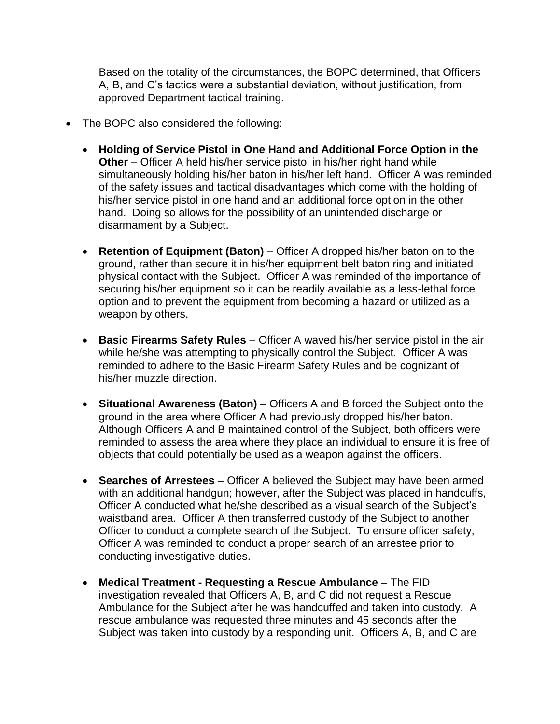Based on the totality of the circumstances, the BOPC determined, that Officers A, B, and C's tactics were a substantial deviation, without justification, from approved Department tactical training.

- The BOPC also considered the following:
	- **Holding of Service Pistol in One Hand and Additional Force Option in the Other** – Officer A held his/her service pistol in his/her right hand while simultaneously holding his/her baton in his/her left hand. Officer A was reminded of the safety issues and tactical disadvantages which come with the holding of his/her service pistol in one hand and an additional force option in the other hand. Doing so allows for the possibility of an unintended discharge or disarmament by a Subject.
	- **Retention of Equipment (Baton)** Officer A dropped his/her baton on to the ground, rather than secure it in his/her equipment belt baton ring and initiated physical contact with the Subject. Officer A was reminded of the importance of securing his/her equipment so it can be readily available as a less-lethal force option and to prevent the equipment from becoming a hazard or utilized as a weapon by others.
	- **Basic Firearms Safety Rules** Officer A waved his/her service pistol in the air while he/she was attempting to physically control the Subject. Officer A was reminded to adhere to the Basic Firearm Safety Rules and be cognizant of his/her muzzle direction.
	- **Situational Awareness (Baton)** Officers A and B forced the Subject onto the ground in the area where Officer A had previously dropped his/her baton. Although Officers A and B maintained control of the Subject, both officers were reminded to assess the area where they place an individual to ensure it is free of objects that could potentially be used as a weapon against the officers.
	- **Searches of Arrestees** Officer A believed the Subject may have been armed with an additional handgun; however, after the Subject was placed in handcuffs, Officer A conducted what he/she described as a visual search of the Subject's waistband area. Officer A then transferred custody of the Subject to another Officer to conduct a complete search of the Subject. To ensure officer safety, Officer A was reminded to conduct a proper search of an arrestee prior to conducting investigative duties.
	- **Medical Treatment - Requesting a Rescue Ambulance** The FID investigation revealed that Officers A, B, and C did not request a Rescue Ambulance for the Subject after he was handcuffed and taken into custody. A rescue ambulance was requested three minutes and 45 seconds after the Subject was taken into custody by a responding unit. Officers A, B, and C are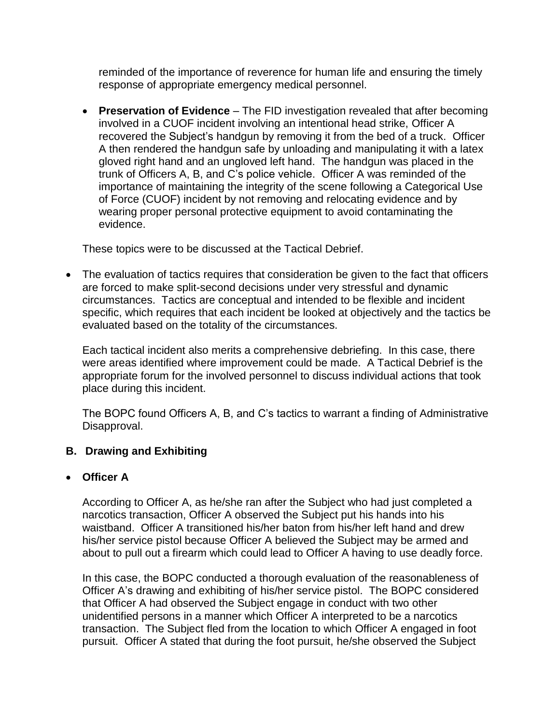reminded of the importance of reverence for human life and ensuring the timely response of appropriate emergency medical personnel.

• **Preservation of Evidence** – The FID investigation revealed that after becoming involved in a CUOF incident involving an intentional head strike, Officer A recovered the Subject's handgun by removing it from the bed of a truck. Officer A then rendered the handgun safe by unloading and manipulating it with a latex gloved right hand and an ungloved left hand. The handgun was placed in the trunk of Officers A, B, and C's police vehicle. Officer A was reminded of the importance of maintaining the integrity of the scene following a Categorical Use of Force (CUOF) incident by not removing and relocating evidence and by wearing proper personal protective equipment to avoid contaminating the evidence.

These topics were to be discussed at the Tactical Debrief.

• The evaluation of tactics requires that consideration be given to the fact that officers are forced to make split-second decisions under very stressful and dynamic circumstances. Tactics are conceptual and intended to be flexible and incident specific, which requires that each incident be looked at objectively and the tactics be evaluated based on the totality of the circumstances.

Each tactical incident also merits a comprehensive debriefing. In this case, there were areas identified where improvement could be made. A Tactical Debrief is the appropriate forum for the involved personnel to discuss individual actions that took place during this incident.

The BOPC found Officers A, B, and C's tactics to warrant a finding of Administrative Disapproval.

## **B. Drawing and Exhibiting**

#### • **Officer A**

According to Officer A, as he/she ran after the Subject who had just completed a narcotics transaction, Officer A observed the Subject put his hands into his waistband. Officer A transitioned his/her baton from his/her left hand and drew his/her service pistol because Officer A believed the Subject may be armed and about to pull out a firearm which could lead to Officer A having to use deadly force.

In this case, the BOPC conducted a thorough evaluation of the reasonableness of Officer A's drawing and exhibiting of his/her service pistol. The BOPC considered that Officer A had observed the Subject engage in conduct with two other unidentified persons in a manner which Officer A interpreted to be a narcotics transaction. The Subject fled from the location to which Officer A engaged in foot pursuit. Officer A stated that during the foot pursuit, he/she observed the Subject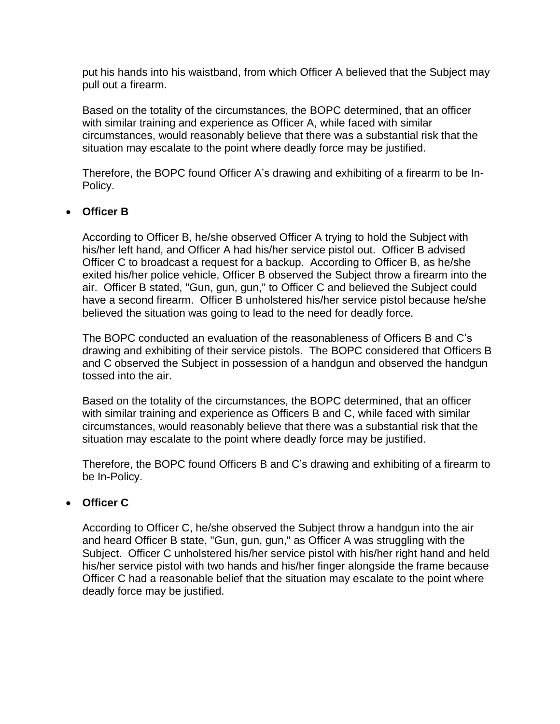put his hands into his waistband, from which Officer A believed that the Subject may pull out a firearm.

Based on the totality of the circumstances, the BOPC determined, that an officer with similar training and experience as Officer A, while faced with similar circumstances, would reasonably believe that there was a substantial risk that the situation may escalate to the point where deadly force may be justified.

Therefore, the BOPC found Officer A's drawing and exhibiting of a firearm to be In-Policy.

## • **Officer B**

According to Officer B, he/she observed Officer A trying to hold the Subject with his/her left hand, and Officer A had his/her service pistol out. Officer B advised Officer C to broadcast a request for a backup. According to Officer B, as he/she exited his/her police vehicle, Officer B observed the Subject throw a firearm into the air. Officer B stated, "Gun, gun, gun," to Officer C and believed the Subject could have a second firearm. Officer B unholstered his/her service pistol because he/she believed the situation was going to lead to the need for deadly force.

The BOPC conducted an evaluation of the reasonableness of Officers B and C's drawing and exhibiting of their service pistols. The BOPC considered that Officers B and C observed the Subject in possession of a handgun and observed the handgun tossed into the air.

Based on the totality of the circumstances, the BOPC determined, that an officer with similar training and experience as Officers B and C, while faced with similar circumstances, would reasonably believe that there was a substantial risk that the situation may escalate to the point where deadly force may be justified.

Therefore, the BOPC found Officers B and C's drawing and exhibiting of a firearm to be In-Policy.

## • **Officer C**

According to Officer C, he/she observed the Subject throw a handgun into the air and heard Officer B state, "Gun, gun, gun," as Officer A was struggling with the Subject. Officer C unholstered his/her service pistol with his/her right hand and held his/her service pistol with two hands and his/her finger alongside the frame because Officer C had a reasonable belief that the situation may escalate to the point where deadly force may be justified.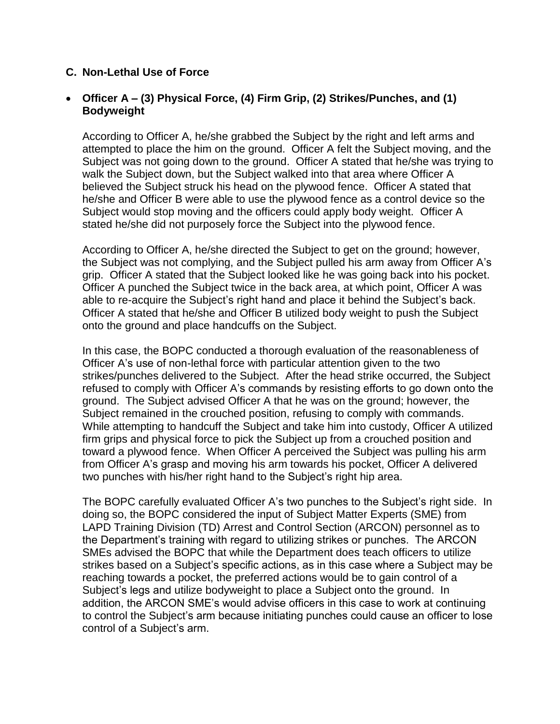#### **C. Non-Lethal Use of Force**

#### • **Officer A – (3) Physical Force, (4) Firm Grip, (2) Strikes/Punches, and (1) Bodyweight**

According to Officer A, he/she grabbed the Subject by the right and left arms and attempted to place the him on the ground. Officer A felt the Subject moving, and the Subject was not going down to the ground. Officer A stated that he/she was trying to walk the Subject down, but the Subject walked into that area where Officer A believed the Subject struck his head on the plywood fence. Officer A stated that he/she and Officer B were able to use the plywood fence as a control device so the Subject would stop moving and the officers could apply body weight. Officer A stated he/she did not purposely force the Subject into the plywood fence.

According to Officer A, he/she directed the Subject to get on the ground; however, the Subject was not complying, and the Subject pulled his arm away from Officer A's grip. Officer A stated that the Subject looked like he was going back into his pocket. Officer A punched the Subject twice in the back area, at which point, Officer A was able to re-acquire the Subject's right hand and place it behind the Subject's back. Officer A stated that he/she and Officer B utilized body weight to push the Subject onto the ground and place handcuffs on the Subject.

In this case, the BOPC conducted a thorough evaluation of the reasonableness of Officer A's use of non-lethal force with particular attention given to the two strikes/punches delivered to the Subject. After the head strike occurred, the Subject refused to comply with Officer A's commands by resisting efforts to go down onto the ground. The Subject advised Officer A that he was on the ground; however, the Subject remained in the crouched position, refusing to comply with commands. While attempting to handcuff the Subject and take him into custody, Officer A utilized firm grips and physical force to pick the Subject up from a crouched position and toward a plywood fence. When Officer A perceived the Subject was pulling his arm from Officer A's grasp and moving his arm towards his pocket, Officer A delivered two punches with his/her right hand to the Subject's right hip area.

The BOPC carefully evaluated Officer A's two punches to the Subject's right side. In doing so, the BOPC considered the input of Subject Matter Experts (SME) from LAPD Training Division (TD) Arrest and Control Section (ARCON) personnel as to the Department's training with regard to utilizing strikes or punches. The ARCON SMEs advised the BOPC that while the Department does teach officers to utilize strikes based on a Subject's specific actions, as in this case where a Subject may be reaching towards a pocket, the preferred actions would be to gain control of a Subject's legs and utilize bodyweight to place a Subject onto the ground. In addition, the ARCON SME's would advise officers in this case to work at continuing to control the Subject's arm because initiating punches could cause an officer to lose control of a Subject's arm.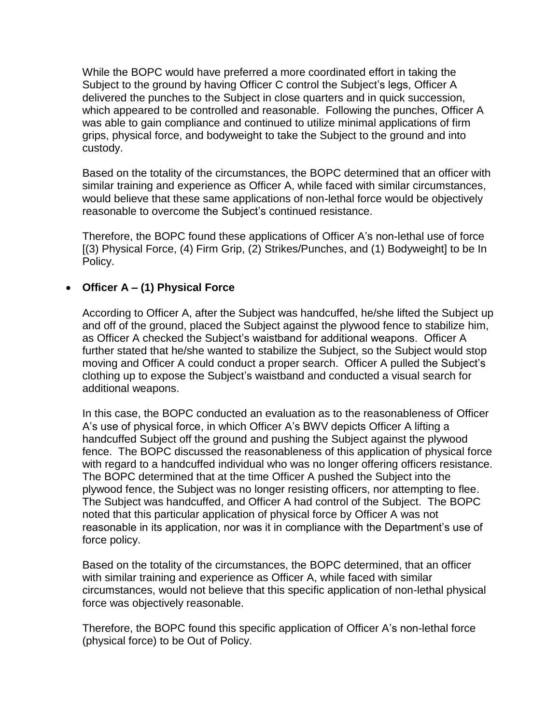While the BOPC would have preferred a more coordinated effort in taking the Subject to the ground by having Officer C control the Subject's legs, Officer A delivered the punches to the Subject in close quarters and in quick succession, which appeared to be controlled and reasonable. Following the punches, Officer A was able to gain compliance and continued to utilize minimal applications of firm grips, physical force, and bodyweight to take the Subject to the ground and into custody.

Based on the totality of the circumstances, the BOPC determined that an officer with similar training and experience as Officer A, while faced with similar circumstances, would believe that these same applications of non-lethal force would be objectively reasonable to overcome the Subject's continued resistance.

Therefore, the BOPC found these applications of Officer A's non-lethal use of force [(3) Physical Force, (4) Firm Grip, (2) Strikes/Punches, and (1) Bodyweight] to be In Policy.

## • **Officer A – (1) Physical Force**

According to Officer A, after the Subject was handcuffed, he/she lifted the Subject up and off of the ground, placed the Subject against the plywood fence to stabilize him, as Officer A checked the Subject's waistband for additional weapons. Officer A further stated that he/she wanted to stabilize the Subject, so the Subject would stop moving and Officer A could conduct a proper search. Officer A pulled the Subject's clothing up to expose the Subject's waistband and conducted a visual search for additional weapons.

In this case, the BOPC conducted an evaluation as to the reasonableness of Officer A's use of physical force, in which Officer A's BWV depicts Officer A lifting a handcuffed Subject off the ground and pushing the Subject against the plywood fence. The BOPC discussed the reasonableness of this application of physical force with regard to a handcuffed individual who was no longer offering officers resistance. The BOPC determined that at the time Officer A pushed the Subject into the plywood fence, the Subject was no longer resisting officers, nor attempting to flee. The Subject was handcuffed, and Officer A had control of the Subject. The BOPC noted that this particular application of physical force by Officer A was not reasonable in its application, nor was it in compliance with the Department's use of force policy.

Based on the totality of the circumstances, the BOPC determined, that an officer with similar training and experience as Officer A, while faced with similar circumstances, would not believe that this specific application of non-lethal physical force was objectively reasonable.

Therefore, the BOPC found this specific application of Officer A's non-lethal force (physical force) to be Out of Policy.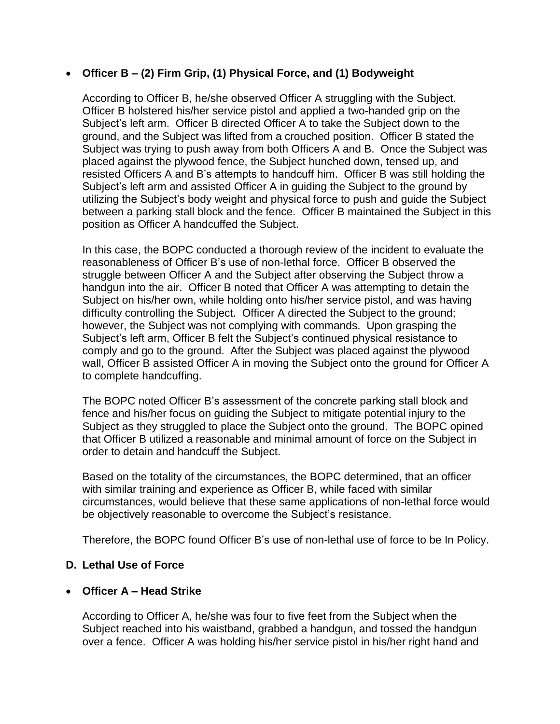### • **Officer B – (2) Firm Grip, (1) Physical Force, and (1) Bodyweight**

According to Officer B, he/she observed Officer A struggling with the Subject. Officer B holstered his/her service pistol and applied a two-handed grip on the Subject's left arm. Officer B directed Officer A to take the Subject down to the ground, and the Subject was lifted from a crouched position. Officer B stated the Subject was trying to push away from both Officers A and B. Once the Subject was placed against the plywood fence, the Subject hunched down, tensed up, and resisted Officers A and B's attempts to handcuff him. Officer B was still holding the Subject's left arm and assisted Officer A in guiding the Subject to the ground by utilizing the Subject's body weight and physical force to push and guide the Subject between a parking stall block and the fence. Officer B maintained the Subject in this position as Officer A handcuffed the Subject.

In this case, the BOPC conducted a thorough review of the incident to evaluate the reasonableness of Officer B's use of non-lethal force. Officer B observed the struggle between Officer A and the Subject after observing the Subject throw a handgun into the air. Officer B noted that Officer A was attempting to detain the Subject on his/her own, while holding onto his/her service pistol, and was having difficulty controlling the Subject. Officer A directed the Subject to the ground; however, the Subject was not complying with commands. Upon grasping the Subject's left arm, Officer B felt the Subject's continued physical resistance to comply and go to the ground. After the Subject was placed against the plywood wall, Officer B assisted Officer A in moving the Subject onto the ground for Officer A to complete handcuffing.

The BOPC noted Officer B's assessment of the concrete parking stall block and fence and his/her focus on guiding the Subject to mitigate potential injury to the Subject as they struggled to place the Subject onto the ground. The BOPC opined that Officer B utilized a reasonable and minimal amount of force on the Subject in order to detain and handcuff the Subject.

Based on the totality of the circumstances, the BOPC determined, that an officer with similar training and experience as Officer B, while faced with similar circumstances, would believe that these same applications of non-lethal force would be objectively reasonable to overcome the Subject's resistance.

Therefore, the BOPC found Officer B's use of non-lethal use of force to be In Policy.

## **D. Lethal Use of Force**

#### • **Officer A – Head Strike**

According to Officer A, he/she was four to five feet from the Subject when the Subject reached into his waistband, grabbed a handgun, and tossed the handgun over a fence. Officer A was holding his/her service pistol in his/her right hand and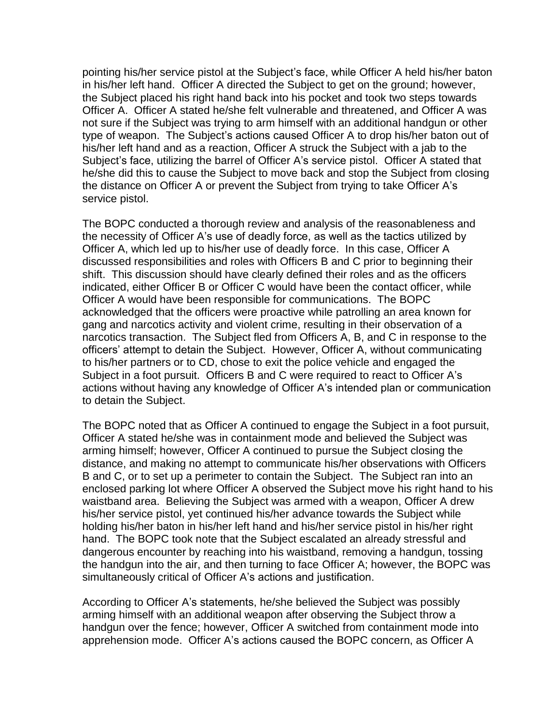pointing his/her service pistol at the Subject's face, while Officer A held his/her baton in his/her left hand. Officer A directed the Subject to get on the ground; however, the Subject placed his right hand back into his pocket and took two steps towards Officer A. Officer A stated he/she felt vulnerable and threatened, and Officer A was not sure if the Subject was trying to arm himself with an additional handgun or other type of weapon. The Subject's actions caused Officer A to drop his/her baton out of his/her left hand and as a reaction, Officer A struck the Subject with a jab to the Subject's face, utilizing the barrel of Officer A's service pistol. Officer A stated that he/she did this to cause the Subject to move back and stop the Subject from closing the distance on Officer A or prevent the Subject from trying to take Officer A's service pistol.

The BOPC conducted a thorough review and analysis of the reasonableness and the necessity of Officer A's use of deadly force, as well as the tactics utilized by Officer A, which led up to his/her use of deadly force. In this case, Officer A discussed responsibilities and roles with Officers B and C prior to beginning their shift. This discussion should have clearly defined their roles and as the officers indicated, either Officer B or Officer C would have been the contact officer, while Officer A would have been responsible for communications. The BOPC acknowledged that the officers were proactive while patrolling an area known for gang and narcotics activity and violent crime, resulting in their observation of a narcotics transaction. The Subject fled from Officers A, B, and C in response to the officers' attempt to detain the Subject. However, Officer A, without communicating to his/her partners or to CD, chose to exit the police vehicle and engaged the Subject in a foot pursuit. Officers B and C were required to react to Officer A's actions without having any knowledge of Officer A's intended plan or communication to detain the Subject.

The BOPC noted that as Officer A continued to engage the Subject in a foot pursuit, Officer A stated he/she was in containment mode and believed the Subject was arming himself; however, Officer A continued to pursue the Subject closing the distance, and making no attempt to communicate his/her observations with Officers B and C, or to set up a perimeter to contain the Subject. The Subject ran into an enclosed parking lot where Officer A observed the Subject move his right hand to his waistband area. Believing the Subject was armed with a weapon, Officer A drew his/her service pistol, yet continued his/her advance towards the Subject while holding his/her baton in his/her left hand and his/her service pistol in his/her right hand. The BOPC took note that the Subject escalated an already stressful and dangerous encounter by reaching into his waistband, removing a handgun, tossing the handgun into the air, and then turning to face Officer A; however, the BOPC was simultaneously critical of Officer A's actions and justification.

According to Officer A's statements, he/she believed the Subject was possibly arming himself with an additional weapon after observing the Subject throw a handgun over the fence; however, Officer A switched from containment mode into apprehension mode. Officer A's actions caused the BOPC concern, as Officer A